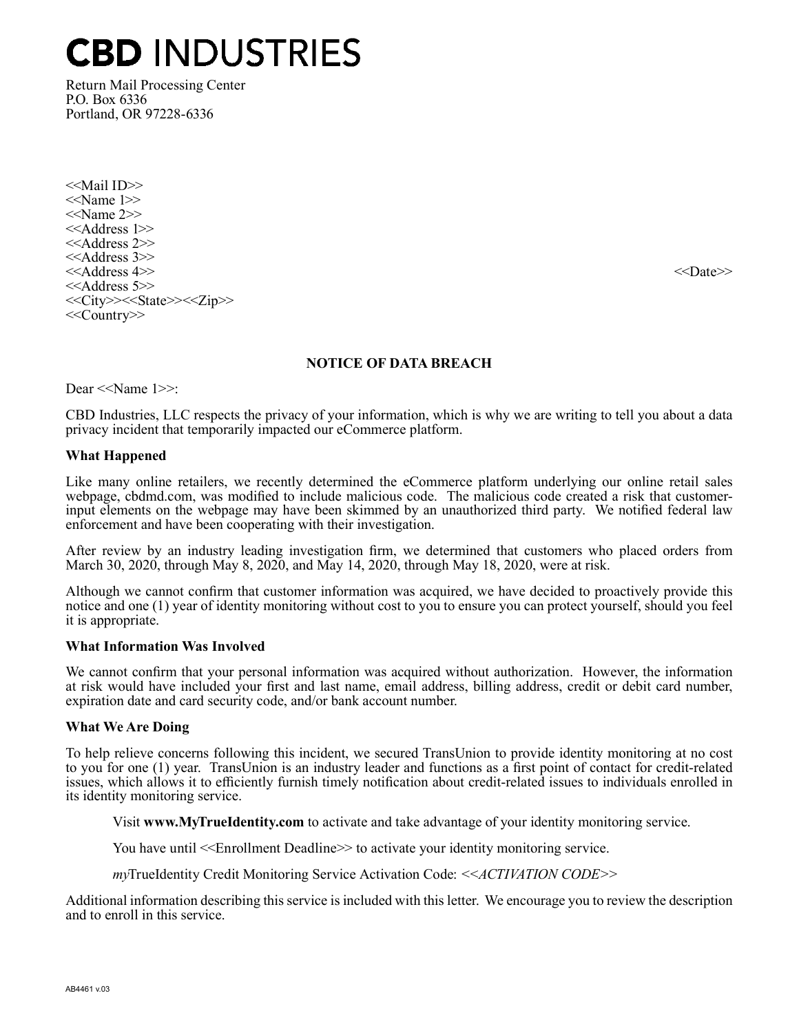## **CBD INDUSTRIES**

Return Mail Processing Center P.O. Box 6336 Portland, OR 97228-6336

<<Mail ID>> <<Name 1>> <<Name 2>> <<Address 1>> <<Address 2>> <<Address 3>> <<Address 4>> <<Date>>  $<<$ Address 5 $>>$ <<City>><<State>><<Zip>> <<Country>>

#### NOTICE OF DATA BREACH

Dear <<Name 1>>:

CBD Industries, LLC respects the privacy of your information, which is why we are writing to tell you about a data privacy incident that temporarily impacted our eCommerce platform.

#### What Happened

Like many online retailers, we recently determined the eCommerce platform underlying our online retail sales webpage, cbdmd.com, was modified to include malicious code. The malicious code created a risk that customerinput elements on the webpage may have been skimmed by an unauthorized third party. We notified federal law enforcement and have been cooperating with their investigation.

After review by an industry leading investigation firm, we determined that customers who placed orders from March 30, 2020, through May 8, 2020, and May 14, 2020, through May 18, 2020, were at risk.

Although we cannot confirm that customer information was acquired, we have decided to proactively provide this notice and one (1) year of identity monitoring without cost to you to ensure you can protect yourself, should you feel it is appropriate.

#### What Information Was Involved

We cannot confirm that your personal information was acquired without authorization. However, the information at risk would have included your first and last name, email address, billing address, credit or debit card number, expiration date and card security code, and/or bank account number.

#### What We Are Doing

To help relieve concerns following this incident, we secured TransUnion to provide identity monitoring at no cost to you for one  $(1)$  year. TransUnion is an industry leader and functions as a first point of contact for credit-related issues, which allows it to efficiently furnish timely notification about credit-related issues to individuals enrolled in its identity monitoring service.

Visit www.MyTrueIdentity.com to activate and take advantage of your identity monitoring service.

You have until  $\le$ Enrollment Deadline>> to activate your identity monitoring service.

myTrueIdentity Credit Monitoring Service Activation Code: <<ACTIVATION CODE>>

Additional information describing this service is included with this letter. We encourage you to review the description and to enroll in this service.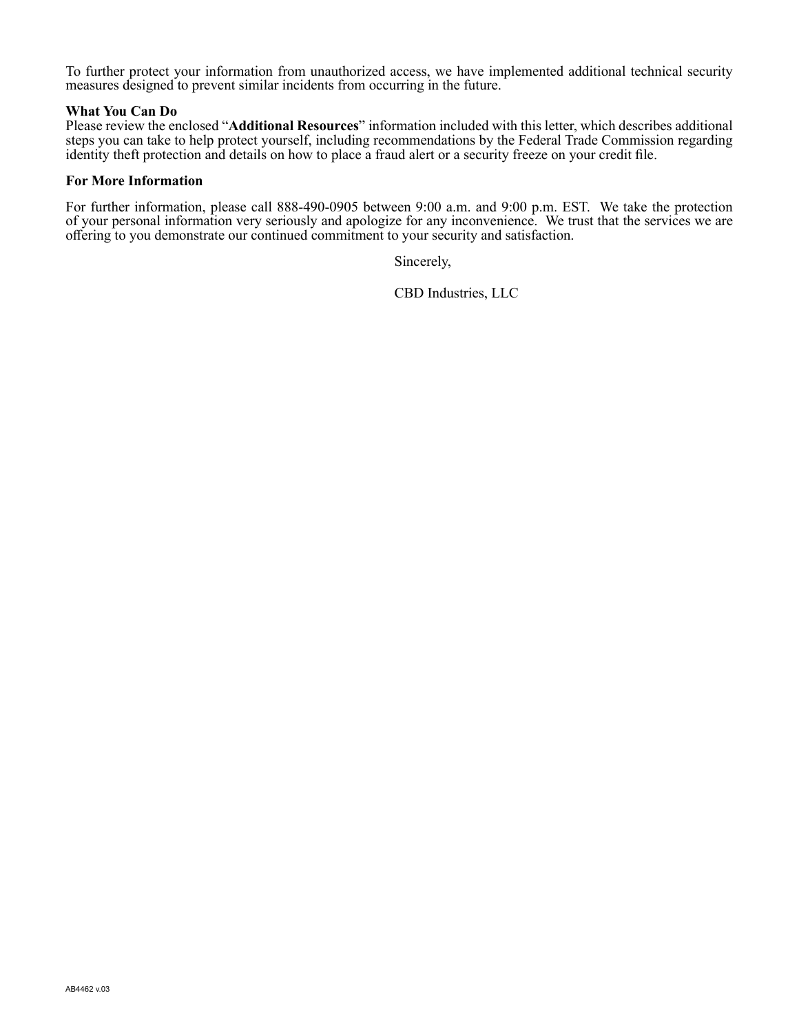To further protect your information from unauthorized access, we have implemented additional technical security measures designed to prevent similar incidents from occurring in the future.

#### What You Can Do

Please review the enclosed "Additional Resources" information included with this letter, which describes additional steps you can take to help protect yourself, including recommendations by the Federal Trade Commission regarding identity theft protection and details on how to place a fraud alert or a security freeze on your credit file.

#### For More Information

For further information, please call 888-490-0905 between 9:00 a.m. and 9:00 p.m. EST. We take the protection of your personal information very seriously and apologize for any inconvenience. We trust that the services we are offering to you demonstrate our continued commitment to your security and satisfaction.

Sincerely,

CBD Industries, LLC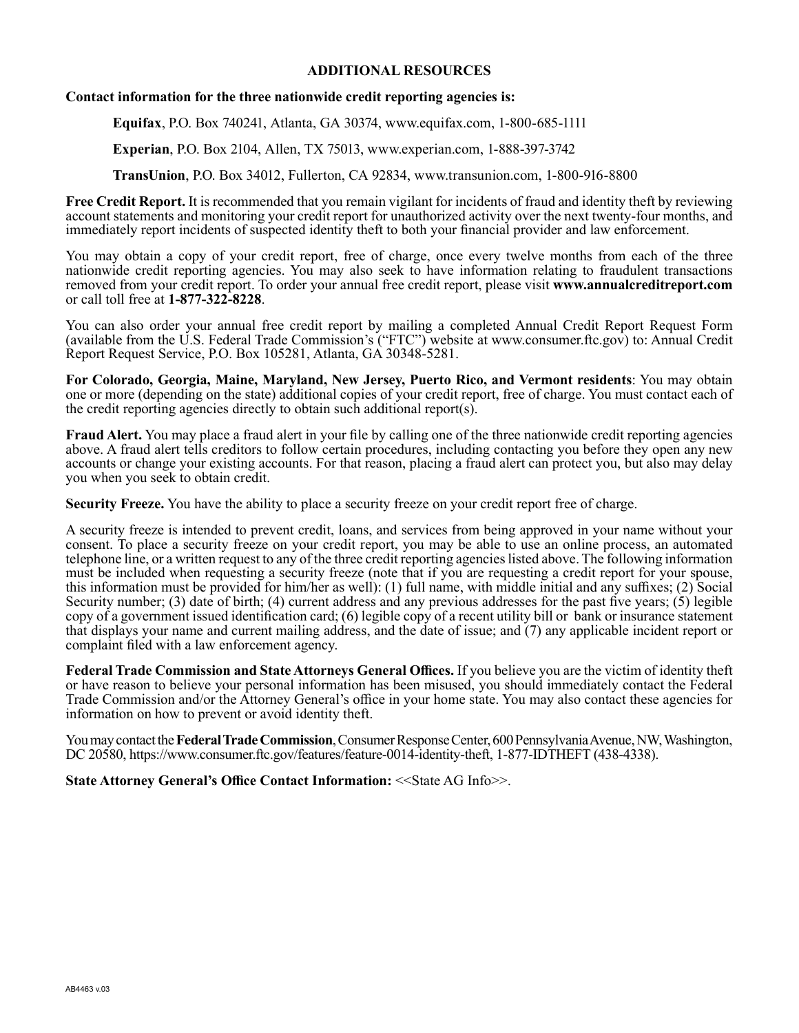#### ADDITIONAL RESOURCES

#### Contact information for the three nationwide credit reporting agencies is:

Equifax, P.O. Box 740241, Atlanta, GA 30374, www.equifax.com,  $1-800-685-1111$ 

Experian, P.O. Box 2104, Allen, TX 75013, www.experian.com, 1-888-397-3742

**TransUnion**, P.O. Box 34012, Fullerton, CA 92834, www.transunion.com, 1-800-916-8800

Free Credit Report. It is recommended that you remain vigilant for incidents of fraud and identity theft by reviewing account statements and monitoring your credit report for unauthorized activity over the next twenty-four months, and immediately report incidents of suspected identity theft to both your financial provider and law enforcement.

You may obtain a copy of your credit report, free of charge, once every twelve months from each of the three nationwide credit reporting agencies. You may also seek to have information relating to fraudulent transactions removed from your credit report. To order your annual free credit report, please visit www.annualcreditreport.com or call toll free at 1-877-322-8228.

You can also order your annual free credit report by mailing a completed Annual Credit Report Request Form (available from the U.S. Federal Trade Commission's ("FTC") website at www.consumer.ftc.gov) to: Annual Credit Report Request Service, P.O. Box 105281, Atlanta, GA 30348-5281.

For Colorado, Georgia, Maine, Maryland, New Jersey, Puerto Rico, and Vermont residents: You may obtain one or more (depending on the state) additional copies of your credit report, free of charge. You must contact each of the credit reporting agencies directly to obtain such additional report(s).

Fraud Alert. You may place a fraud alert in your file by calling one of the three nationwide credit reporting agencies above. A fraud alert tells creditors to follow certain procedures, including contacting you before they open any new accounts or change your existing accounts. For that reason, placing a fraud alert can protect you, but also may delay you when you seek to obtain credit.

Security Freeze. You have the ability to place a security freeze on your credit report free of charge.

A security freeze is intended to prevent credit, loans, and services from being approved in your name without your consent. To place a security freeze on your credit report, you may be able to use an online process, an automated telephone line, or a written request to any of the three credit reporting agencies listed above. The following information must be included when requesting a security freeze (note that if you are requesting a credit report for your spouse, this information must be provided for him/her as well): (1) full name, with middle initial and any suffixes; (2) Social Security number; (3) date of birth; (4) current address and any previous addresses for the past five years; (5) legible copy of a government issued identification card; (6) legible copy of a recent utility bill or bank or insurance statement that displays your name and current mailing address, and the date of issue; and  $(7)$  any applicable incident report or complaint filed with a law enforcement agency.

Federal Trade Commission and State Attorneys General Offices. If you believe you are the victim of identity theft or have reason to believe your personal information has been misused, you should immediately contact the Federal Trade Commission and/or the Attorney General's office in your home state. You may also contact these agencies for information on how to prevent or avoid identity theft.

You may contact the Federal Trade Commission, Consumer Response Center, 600 Pennsylvania Avenue, NW, Washington, DC 20580, https://www.consumer.ftc.gov/features/feature-0014-identity-theft, 1-877-IDTHEFT (438-4338).

State Attorney General's Office Contact Information: << State AG Info>>.